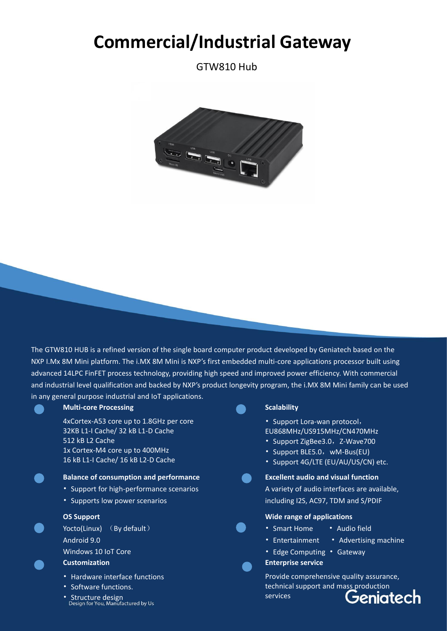# **Commercial/Industrial Gateway**

GTW810 Hub



The GTW810 HUB is a refined version of the single board computer product developed by Geniatech based on the NXP I.Mx 8M Mini platform. The i.MX 8M Mini is NXP's first embedded multi-core applications processor built using advanced 14LPC FinFET process technology, providing high speed and improved power efficiency. With commercial and industrial level qualification and backed by NXP's product longevity program, the i.MX 8M Mini family can be used in any general purpose industrial and IoT applications.

# **Multi-core Processing**

4xCortex-A53 core up to 1.8GHz per core 32KB L1-I Cache/ 32 kB L1-D Cache 512 kB L2 Cache 1x Cortex-M4 core up to 400MHz 16 kB L1-I Cache/ 16 kB L2-D Cache

## **Balance of consumption and performance**

- Support for high-performance scenarios
- Supports low power scenarios

# **OS Support**

Yocto(Linux) (By default) Android 9.0 Windows 10 IoT Core

# **Customization**

- Hardware interface functions
- Software functions.
- Structure design<br>Design for You, Manufactured by Us

# **Scalability**

- Support Lora-wan protocol,
- EU868MHz/US915MHz/CN470MHz
- Support ZigBee3.0, Z-Wave700
- Support BLE5.0, wM-Bus(EU)
- Support 4G/LTE (EU/AU/US/CN) etc.

## **Excellent audio and visual function**



# **Wide range of applications**

- 
- Smart Home Audio field
- Entertainment Advertising machine
- Edge Computing Gateway

### **Enterprise service**

Provide comprehensive quality assurance, technical support and mass production services